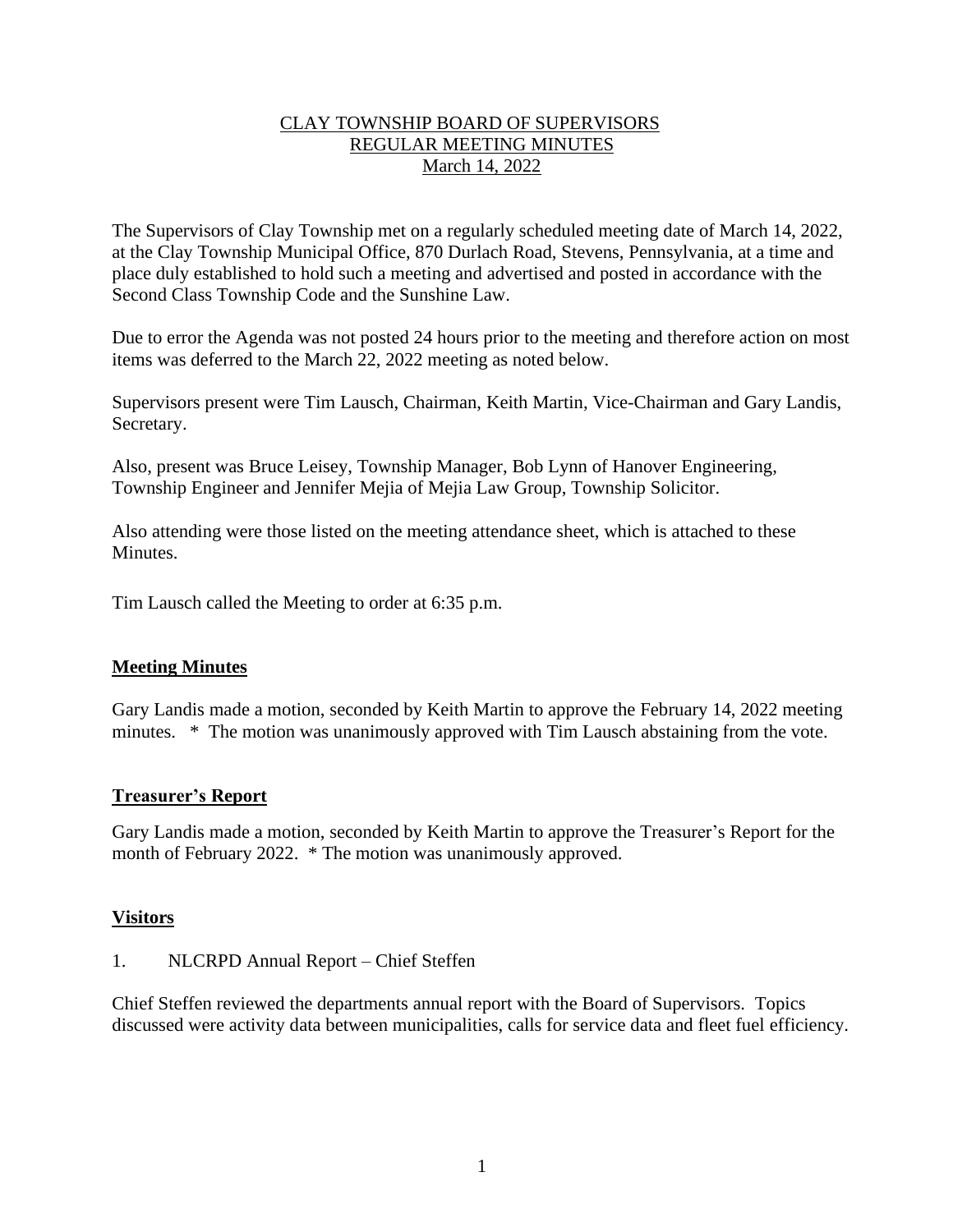## CLAY TOWNSHIP BOARD OF SUPERVISORS REGULAR MEETING MINUTES March 14, 2022

The Supervisors of Clay Township met on a regularly scheduled meeting date of March 14, 2022, at the Clay Township Municipal Office, 870 Durlach Road, Stevens, Pennsylvania, at a time and place duly established to hold such a meeting and advertised and posted in accordance with the Second Class Township Code and the Sunshine Law.

Due to error the Agenda was not posted 24 hours prior to the meeting and therefore action on most items was deferred to the March 22, 2022 meeting as noted below.

Supervisors present were Tim Lausch, Chairman, Keith Martin, Vice-Chairman and Gary Landis, Secretary.

Also, present was Bruce Leisey, Township Manager, Bob Lynn of Hanover Engineering, Township Engineer and Jennifer Mejia of Mejia Law Group, Township Solicitor.

Also attending were those listed on the meeting attendance sheet, which is attached to these Minutes.

Tim Lausch called the Meeting to order at 6:35 p.m.

# **Meeting Minutes**

Gary Landis made a motion, seconded by Keith Martin to approve the February 14, 2022 meeting minutes. \* The motion was unanimously approved with Tim Lausch abstaining from the vote.

# **Treasurer's Report**

Gary Landis made a motion, seconded by Keith Martin to approve the Treasurer's Report for the month of February 2022. \* The motion was unanimously approved.

### **Visitors**

1. NLCRPD Annual Report – Chief Steffen

Chief Steffen reviewed the departments annual report with the Board of Supervisors. Topics discussed were activity data between municipalities, calls for service data and fleet fuel efficiency.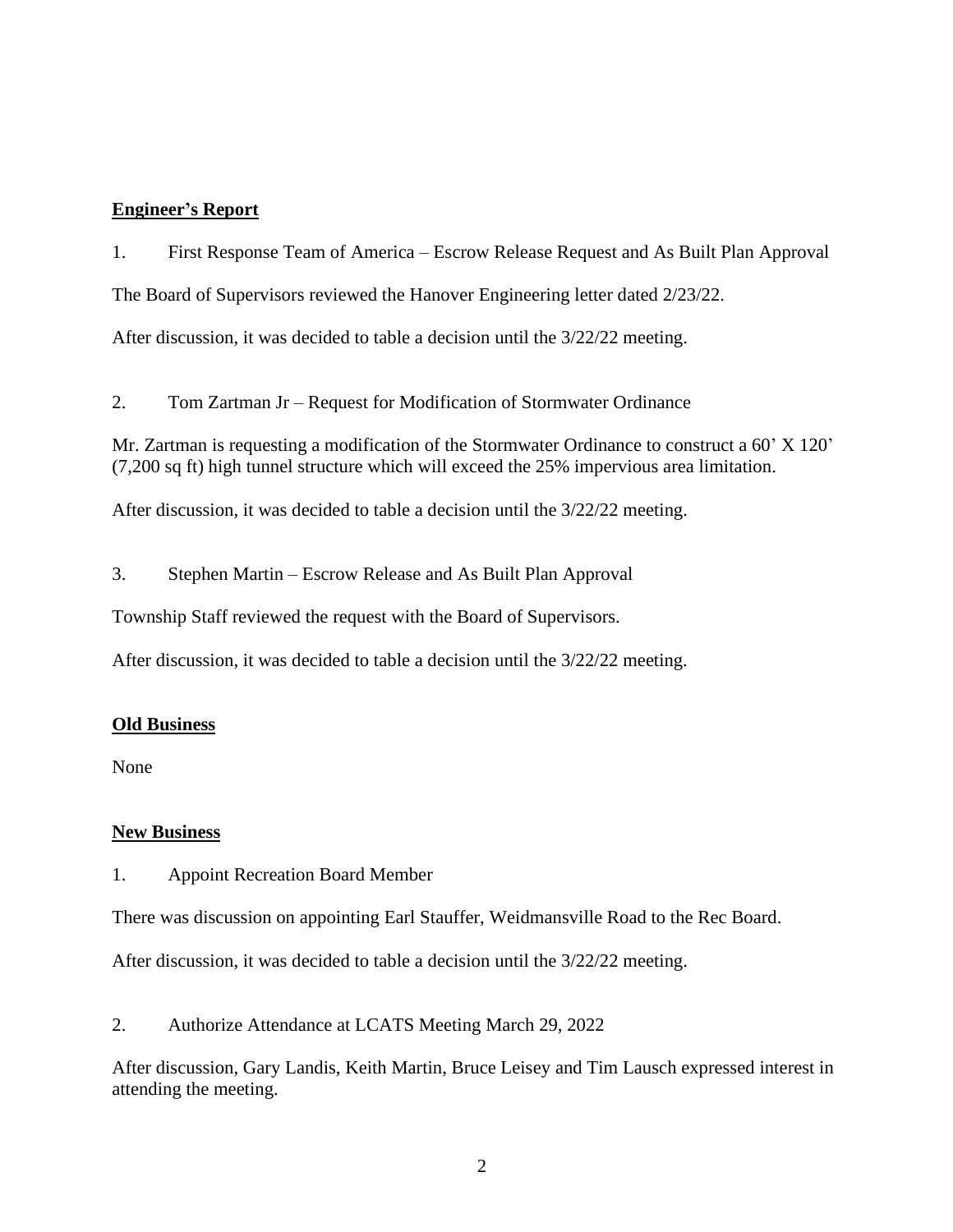### **Engineer's Report**

1. First Response Team of America – Escrow Release Request and As Built Plan Approval The Board of Supervisors reviewed the Hanover Engineering letter dated 2/23/22. After discussion, it was decided to table a decision until the 3/22/22 meeting.

2. Tom Zartman Jr – Request for Modification of Stormwater Ordinance

Mr. Zartman is requesting a modification of the Stormwater Ordinance to construct a 60' X 120' (7,200 sq ft) high tunnel structure which will exceed the 25% impervious area limitation.

After discussion, it was decided to table a decision until the 3/22/22 meeting.

3. Stephen Martin – Escrow Release and As Built Plan Approval

Township Staff reviewed the request with the Board of Supervisors.

After discussion, it was decided to table a decision until the 3/22/22 meeting.

### **Old Business**

None

### **New Business**

1. Appoint Recreation Board Member

There was discussion on appointing Earl Stauffer, Weidmansville Road to the Rec Board.

After discussion, it was decided to table a decision until the 3/22/22 meeting.

2. Authorize Attendance at LCATS Meeting March 29, 2022

After discussion, Gary Landis, Keith Martin, Bruce Leisey and Tim Lausch expressed interest in attending the meeting.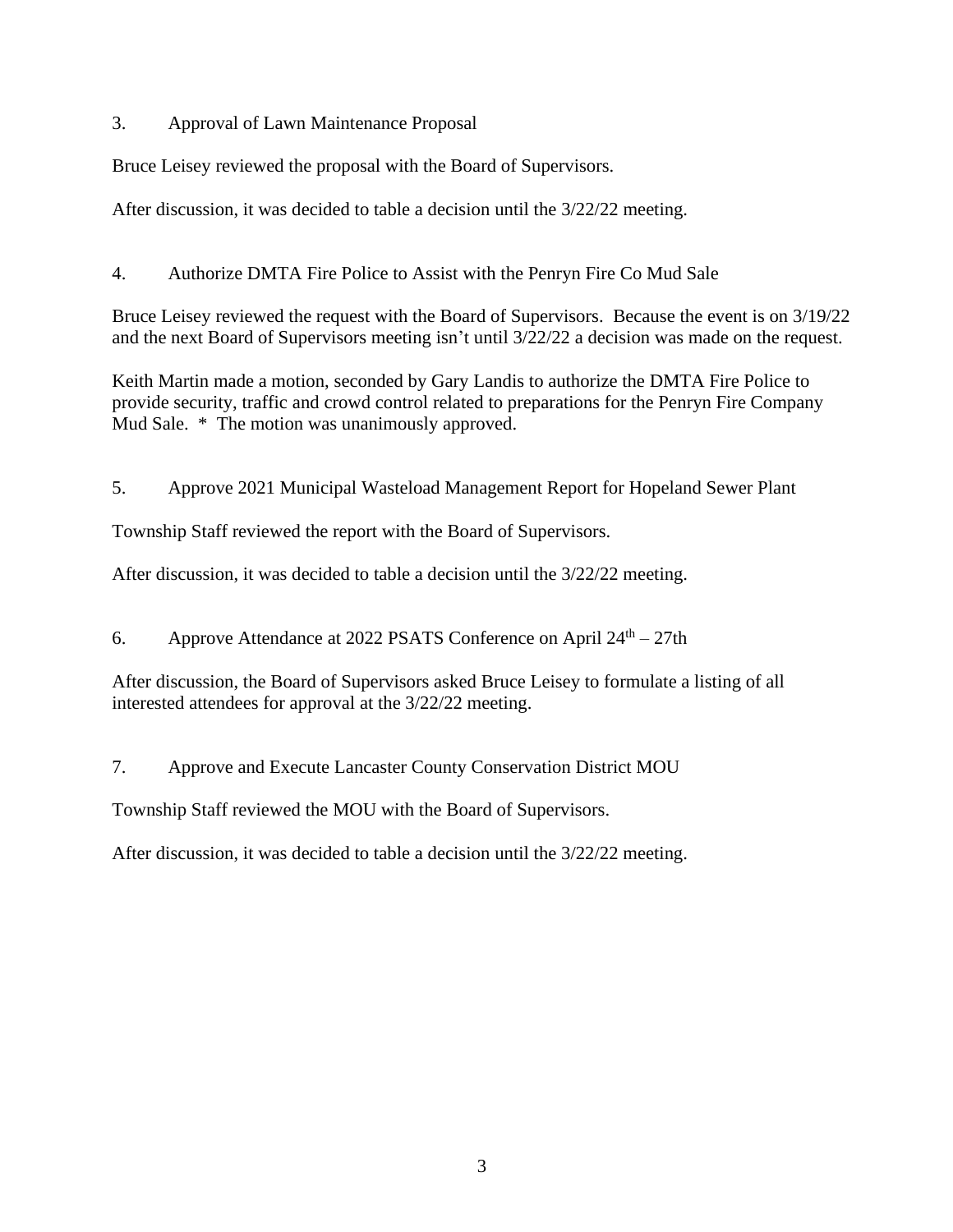3. Approval of Lawn Maintenance Proposal

Bruce Leisey reviewed the proposal with the Board of Supervisors.

After discussion, it was decided to table a decision until the 3/22/22 meeting.

4. Authorize DMTA Fire Police to Assist with the Penryn Fire Co Mud Sale

Bruce Leisey reviewed the request with the Board of Supervisors. Because the event is on 3/19/22 and the next Board of Supervisors meeting isn't until 3/22/22 a decision was made on the request.

Keith Martin made a motion, seconded by Gary Landis to authorize the DMTA Fire Police to provide security, traffic and crowd control related to preparations for the Penryn Fire Company Mud Sale. \* The motion was unanimously approved.

5. Approve 2021 Municipal Wasteload Management Report for Hopeland Sewer Plant

Township Staff reviewed the report with the Board of Supervisors.

After discussion, it was decided to table a decision until the 3/22/22 meeting.

6. Approve Attendance at 2022 PSATS Conference on April  $24<sup>th</sup> - 27$ th

After discussion, the Board of Supervisors asked Bruce Leisey to formulate a listing of all interested attendees for approval at the 3/22/22 meeting.

7. Approve and Execute Lancaster County Conservation District MOU

Township Staff reviewed the MOU with the Board of Supervisors.

After discussion, it was decided to table a decision until the 3/22/22 meeting.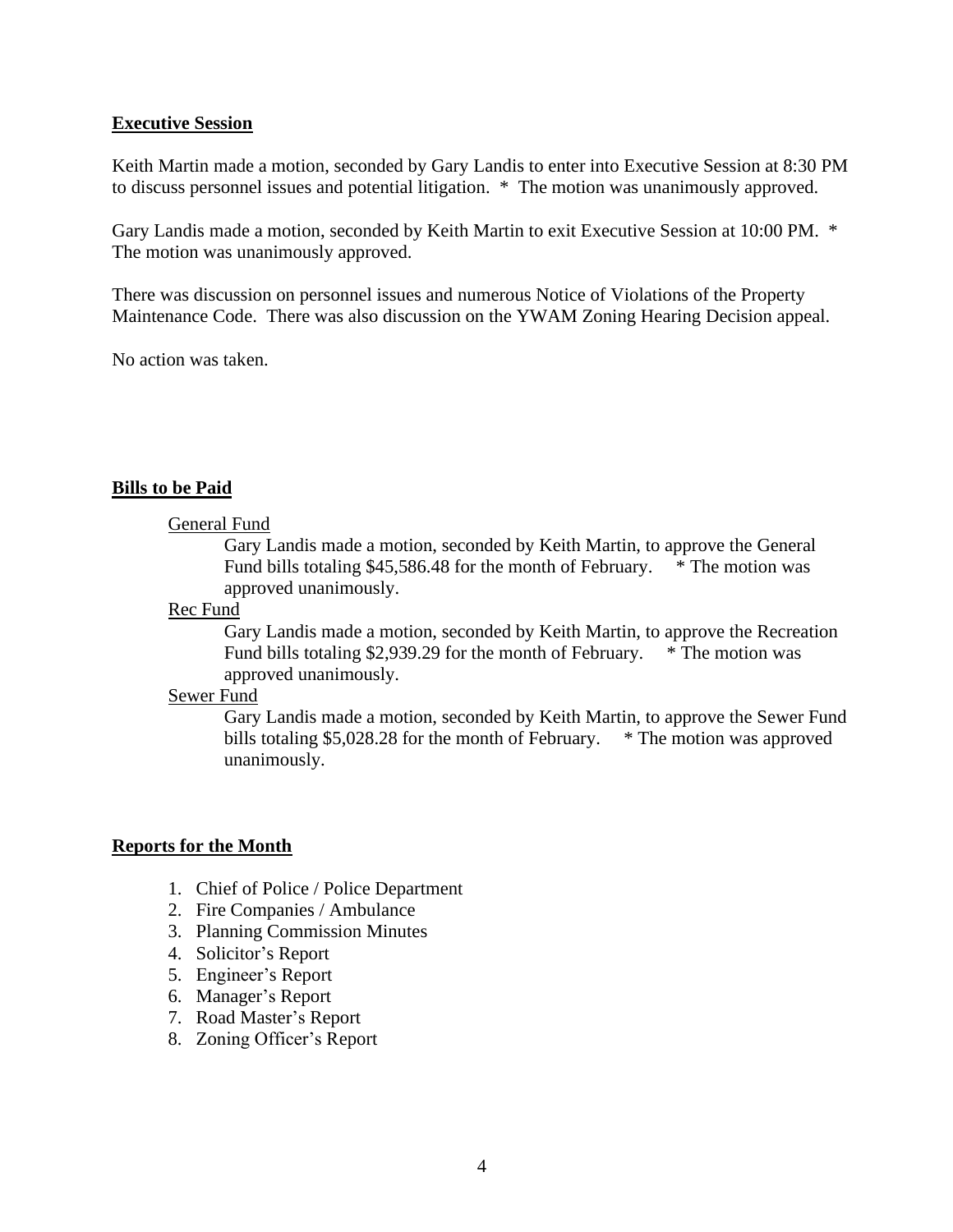#### **Executive Session**

Keith Martin made a motion, seconded by Gary Landis to enter into Executive Session at 8:30 PM to discuss personnel issues and potential litigation. \* The motion was unanimously approved.

Gary Landis made a motion, seconded by Keith Martin to exit Executive Session at 10:00 PM. \* The motion was unanimously approved.

There was discussion on personnel issues and numerous Notice of Violations of the Property Maintenance Code. There was also discussion on the YWAM Zoning Hearing Decision appeal.

No action was taken.

### **Bills to be Paid**

#### General Fund

Gary Landis made a motion, seconded by Keith Martin, to approve the General Fund bills totaling \$45,586.48 for the month of February. \* The motion was approved unanimously.

#### Rec Fund

Gary Landis made a motion, seconded by Keith Martin, to approve the Recreation Fund bills totaling \$2,939.29 for the month of February. \* The motion was approved unanimously.

#### Sewer Fund

Gary Landis made a motion, seconded by Keith Martin, to approve the Sewer Fund bills totaling \$5,028.28 for the month of February.  $*$  The motion was approved unanimously.

### **Reports for the Month**

- 1. Chief of Police / Police Department
- 2. Fire Companies / Ambulance
- 3. Planning Commission Minutes
- 4. Solicitor's Report
- 5. Engineer's Report
- 6. Manager's Report
- 7. Road Master's Report
- 8. Zoning Officer's Report